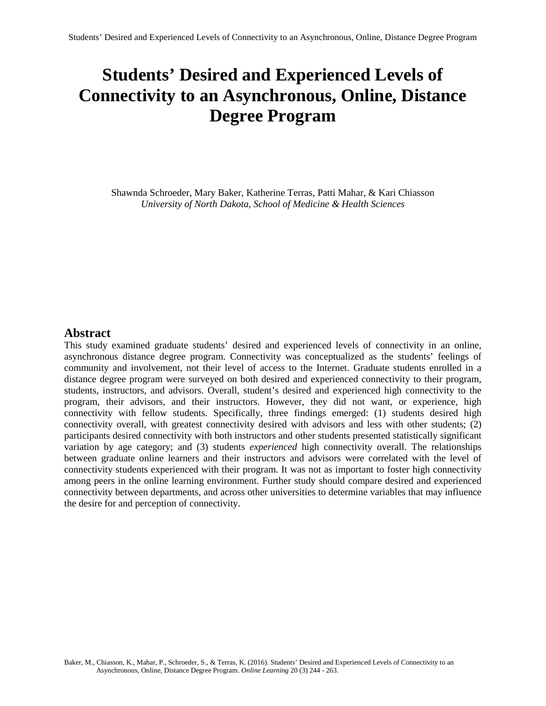# **Students' Desired and Experienced Levels of Connectivity to an Asynchronous, Online, Distance Degree Program**

Shawnda Schroeder, Mary Baker, Katherine Terras, Patti Mahar, & Kari Chiasson *University of North Dakota, School of Medicine & Health Sciences*

## **Abstract**

This study examined graduate students' desired and experienced levels of connectivity in an online, asynchronous distance degree program. Connectivity was conceptualized as the students' feelings of community and involvement, not their level of access to the Internet. Graduate students enrolled in a distance degree program were surveyed on both desired and experienced connectivity to their program, students, instructors, and advisors. Overall, student's desired and experienced high connectivity to the program, their advisors, and their instructors. However, they did not want, or experience, high connectivity with fellow students. Specifically, three findings emerged: (1) students desired high connectivity overall, with greatest connectivity desired with advisors and less with other students; (2) participants desired connectivity with both instructors and other students presented statistically significant variation by age category; and (3) students *experienced* high connectivity overall. The relationships between graduate online learners and their instructors and advisors were correlated with the level of connectivity students experienced with their program. It was not as important to foster high connectivity among peers in the online learning environment. Further study should compare desired and experienced connectivity between departments, and across other universities to determine variables that may influence the desire for and perception of connectivity.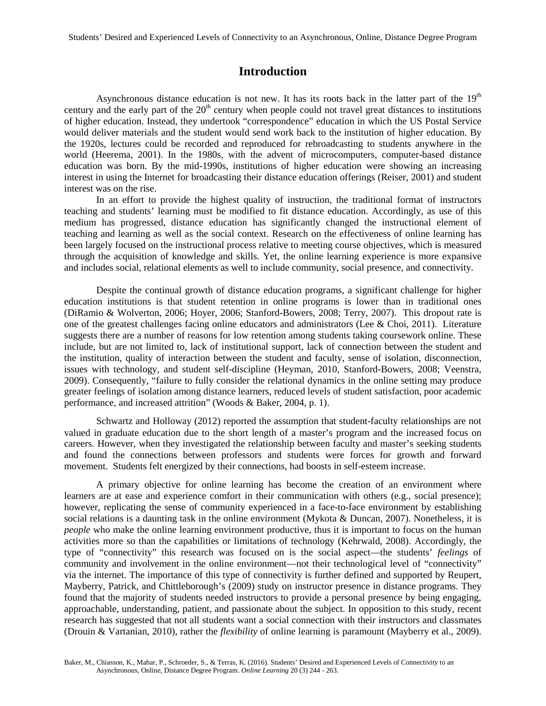## **Introduction**

Asynchronous distance education is not new. It has its roots back in the latter part of the  $19<sup>th</sup>$ century and the early part of the  $20<sup>th</sup>$  century when people could not travel great distances to institutions of higher education. Instead, they undertook "correspondence" education in which the US Postal Service would deliver materials and the student would send work back to the institution of higher education. By the 1920s, lectures could be recorded and reproduced for rebroadcasting to students anywhere in the world (Heerema, 2001). In the 1980s, with the advent of microcomputers, computer-based distance education was born. By the mid-1990s, institutions of higher education were showing an increasing interest in using the Internet for broadcasting their distance education offerings (Reiser, 2001) and student interest was on the rise.

In an effort to provide the highest quality of instruction, the traditional format of instructors teaching and students' learning must be modified to fit distance education. Accordingly, as use of this medium has progressed, distance education has significantly changed the instructional element of teaching and learning as well as the social context. Research on the effectiveness of online learning has been largely focused on the instructional process relative to meeting course objectives, which is measured through the acquisition of knowledge and skills. Yet, the online learning experience is more expansive and includes social, relational elements as well to include community, social presence, and connectivity.

Despite the continual growth of distance education programs, a significant challenge for higher education institutions is that student retention in online programs is lower than in traditional ones (DiRamio & Wolverton, 2006; Hoyer, 2006; Stanford-Bowers, 2008; Terry, 2007). This dropout rate is one of the greatest challenges facing online educators and administrators (Lee & Choi, 2011). Literature suggests there are a number of reasons for low retention among students taking coursework online. These include, but are not limited to, lack of institutional support, lack of connection between the student and the institution, quality of interaction between the student and faculty, sense of isolation, disconnection, issues with technology, and student self-discipline (Heyman, 2010, Stanford-Bowers, 2008; Veenstra, 2009). Consequently, "failure to fully consider the relational dynamics in the online setting may produce greater feelings of isolation among distance learners, reduced levels of student satisfaction, poor academic performance, and increased attrition" (Woods & Baker, 2004, p. 1).

Schwartz and Holloway (2012) reported the assumption that student-faculty relationships are not valued in graduate education due to the short length of a master's program and the increased focus on careers. However, when they investigated the relationship between faculty and master's seeking students and found the connections between professors and students were forces for growth and forward movement. Students felt energized by their connections, had boosts in self-esteem increase.

A primary objective for online learning has become the creation of an environment where learners are at ease and experience comfort in their communication with others (e.g., social presence); however, replicating the sense of community experienced in a face-to-face environment by establishing social relations is a daunting task in the online environment (Mykota & Duncan, 2007). Nonetheless, it is *people* who make the online learning environment productive, thus it is important to focus on the human activities more so than the capabilities or limitations of technology (Kehrwald, 2008). Accordingly, the type of "connectivity" this research was focused on is the social aspect—the students' *feelings* of community and involvement in the online environment—not their technological level of "connectivity" via the internet. The importance of this type of connectivity is further defined and supported by Reupert, Mayberry, Patrick, and Chittleborough's (2009) study on instructor presence in distance programs. They found that the majority of students needed instructors to provide a personal presence by being engaging, approachable, understanding, patient, and passionate about the subject. In opposition to this study, recent research has suggested that not all students want a social connection with their instructors and classmates (Drouin & Vartanian, 2010), rather the *flexibility* of online learning is paramount (Mayberry et al., 2009).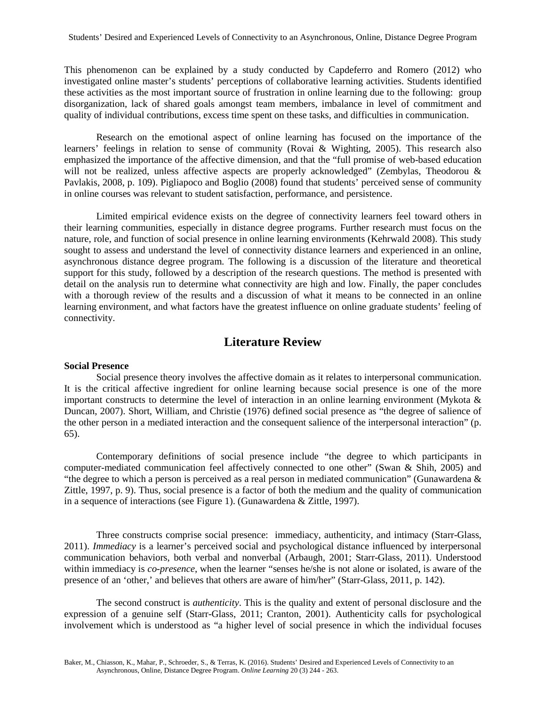This phenomenon can be explained by a study conducted by Capdeferro and Romero (2012) who investigated online master's students' perceptions of collaborative learning activities. Students identified these activities as the most important source of frustration in online learning due to the following: group disorganization, lack of shared goals amongst team members, imbalance in level of commitment and quality of individual contributions, excess time spent on these tasks, and difficulties in communication.

Research on the emotional aspect of online learning has focused on the importance of the learners' feelings in relation to sense of community (Rovai & Wighting, 2005). This research also emphasized the importance of the affective dimension, and that the "full promise of web-based education will not be realized, unless affective aspects are properly acknowledged" (Zembylas, Theodorou & Pavlakis, 2008, p. 109). Pigliapoco and Boglio (2008) found that students' perceived sense of community in online courses was relevant to student satisfaction, performance, and persistence.

Limited empirical evidence exists on the degree of connectivity learners feel toward others in their learning communities, especially in distance degree programs. Further research must focus on the nature, role, and function of social presence in online learning environments (Kehrwald 2008). This study sought to assess and understand the level of connectivity distance learners and experienced in an online, asynchronous distance degree program. The following is a discussion of the literature and theoretical support for this study, followed by a description of the research questions. The method is presented with detail on the analysis run to determine what connectivity are high and low. Finally, the paper concludes with a thorough review of the results and a discussion of what it means to be connected in an online learning environment, and what factors have the greatest influence on online graduate students' feeling of connectivity.

## **Literature Review**

#### **Social Presence**

Social presence theory involves the affective domain as it relates to interpersonal communication. It is the critical affective ingredient for online learning because social presence is one of the more important constructs to determine the level of interaction in an online learning environment (Mykota & Duncan, 2007). Short, William, and Christie (1976) defined social presence as "the degree of salience of the other person in a mediated interaction and the consequent salience of the interpersonal interaction" (p. 65).

Contemporary definitions of social presence include "the degree to which participants in computer-mediated communication feel affectively connected to one other" (Swan & Shih, 2005) and "the degree to which a person is perceived as a real person in mediated communication" (Gunawardena & Zittle, 1997, p. 9). Thus, social presence is a factor of both the medium and the quality of communication in a sequence of interactions (see Figure 1). (Gunawardena & Zittle, 1997).

Three constructs comprise social presence: immediacy, authenticity, and intimacy (Starr-Glass, 2011). *Immediacy* is a learner's perceived social and psychological distance influenced by interpersonal communication behaviors, both verbal and nonverbal (Arbaugh, 2001; Starr-Glass, 2011). Understood within immediacy is *co-presence*, when the learner "senses he/she is not alone or isolated, is aware of the presence of an 'other,' and believes that others are aware of him/her" (Starr-Glass, 2011, p. 142).

The second construct is *authenticity*. This is the quality and extent of personal disclosure and the expression of a genuine self (Starr-Glass, 2011; Cranton, 2001). Authenticity calls for psychological involvement which is understood as "a higher level of social presence in which the individual focuses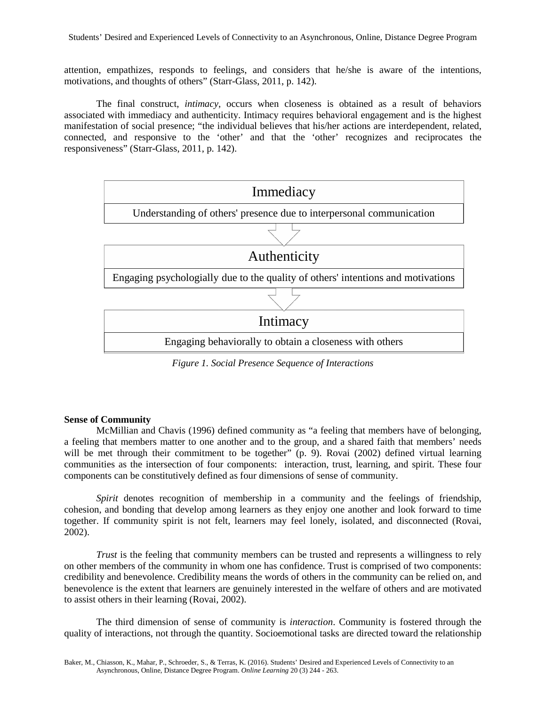attention, empathizes, responds to feelings, and considers that he/she is aware of the intentions, motivations, and thoughts of others" (Starr-Glass, 2011, p. 142).

The final construct, *intimacy*, occurs when closeness is obtained as a result of behaviors associated with immediacy and authenticity. Intimacy requires behavioral engagement and is the highest manifestation of social presence; "the individual believes that his/her actions are interdependent, related, connected, and responsive to the 'other' and that the 'other' recognizes and reciprocates the responsiveness" (Starr-Glass, 2011, p. 142).



*Figure 1. Social Presence Sequence of Interactions*

### **Sense of Community**

McMillian and Chavis (1996) defined community as "a feeling that members have of belonging, a feeling that members matter to one another and to the group, and a shared faith that members' needs will be met through their commitment to be together" (p. 9). Rovai (2002) defined virtual learning communities as the intersection of four components: interaction, trust, learning, and spirit. These four components can be constitutively defined as four dimensions of sense of community.

*Spirit* denotes recognition of membership in a community and the feelings of friendship, cohesion, and bonding that develop among learners as they enjoy one another and look forward to time together. If community spirit is not felt, learners may feel lonely, isolated, and disconnected (Rovai, 2002).

*Trust* is the feeling that community members can be trusted and represents a willingness to rely on other members of the community in whom one has confidence. Trust is comprised of two components: credibility and benevolence. Credibility means the words of others in the community can be relied on, and benevolence is the extent that learners are genuinely interested in the welfare of others and are motivated to assist others in their learning (Rovai, 2002).

The third dimension of sense of community is *interaction*. Community is fostered through the quality of interactions, not through the quantity. Socioemotional tasks are directed toward the relationship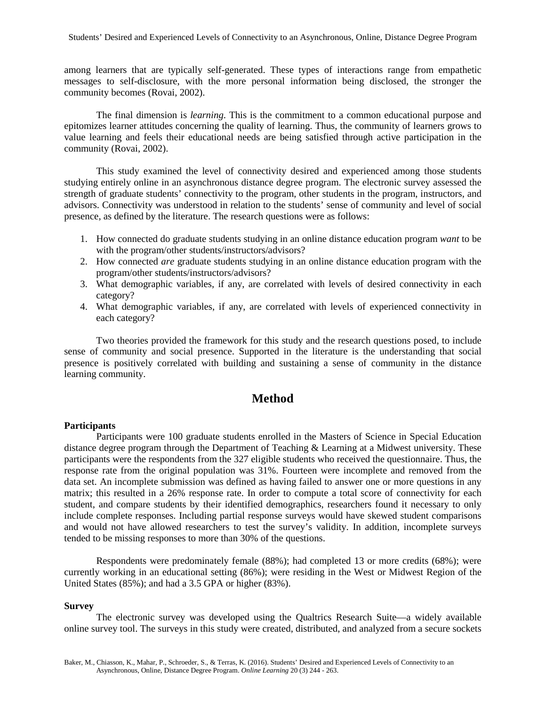among learners that are typically self-generated. These types of interactions range from empathetic messages to self-disclosure, with the more personal information being disclosed, the stronger the community becomes (Rovai, 2002).

The final dimension is *learning*. This is the commitment to a common educational purpose and epitomizes learner attitudes concerning the quality of learning. Thus, the community of learners grows to value learning and feels their educational needs are being satisfied through active participation in the community (Rovai, 2002).

This study examined the level of connectivity desired and experienced among those students studying entirely online in an asynchronous distance degree program. The electronic survey assessed the strength of graduate students' connectivity to the program, other students in the program, instructors, and advisors. Connectivity was understood in relation to the students' sense of community and level of social presence, as defined by the literature. The research questions were as follows:

- 1. How connected do graduate students studying in an online distance education program *want* to be with the program/other students/instructors/advisors?
- 2. How connected *are* graduate students studying in an online distance education program with the program/other students/instructors/advisors?
- 3. What demographic variables, if any, are correlated with levels of desired connectivity in each category?
- 4. What demographic variables, if any, are correlated with levels of experienced connectivity in each category?

Two theories provided the framework for this study and the research questions posed, to include sense of community and social presence. Supported in the literature is the understanding that social presence is positively correlated with building and sustaining a sense of community in the distance learning community.

## **Method**

#### **Participants**

Participants were 100 graduate students enrolled in the Masters of Science in Special Education distance degree program through the Department of Teaching & Learning at a Midwest university. These participants were the respondents from the 327 eligible students who received the questionnaire. Thus, the response rate from the original population was 31%. Fourteen were incomplete and removed from the data set. An incomplete submission was defined as having failed to answer one or more questions in any matrix; this resulted in a 26% response rate. In order to compute a total score of connectivity for each student, and compare students by their identified demographics, researchers found it necessary to only include complete responses. Including partial response surveys would have skewed student comparisons and would not have allowed researchers to test the survey's validity. In addition, incomplete surveys tended to be missing responses to more than 30% of the questions.

Respondents were predominately female (88%); had completed 13 or more credits (68%); were currently working in an educational setting (86%); were residing in the West or Midwest Region of the United States (85%); and had a 3.5 GPA or higher (83%).

#### **Survey**

The electronic survey was developed using the Qualtrics Research Suite—a widely available online survey tool. The surveys in this study were created, distributed, and analyzed from a secure sockets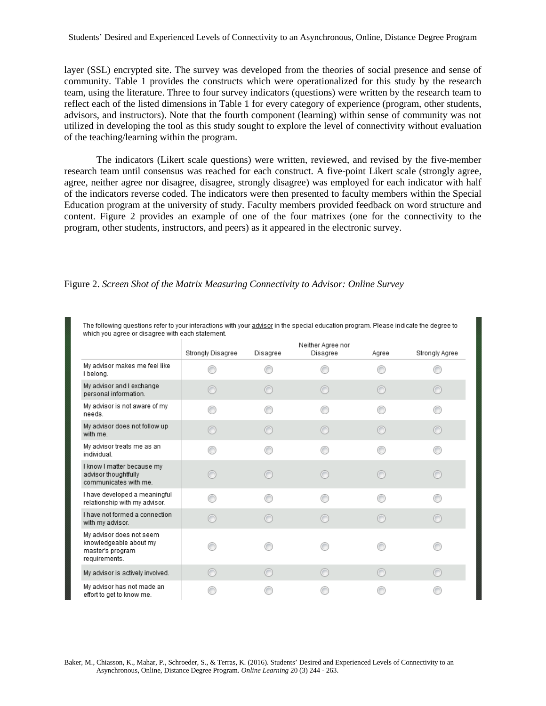layer (SSL) encrypted site. The survey was developed from the theories of social presence and sense of community. Table 1 provides the constructs which were operationalized for this study by the research team, using the literature. Three to four survey indicators (questions) were written by the research team to reflect each of the listed dimensions in Table 1 for every category of experience (program, other students, advisors, and instructors). Note that the fourth component (learning) within sense of community was not utilized in developing the tool as this study sought to explore the level of connectivity without evaluation of the teaching/learning within the program.

The indicators (Likert scale questions) were written, reviewed, and revised by the five-member research team until consensus was reached for each construct. A five-point Likert scale (strongly agree, agree, neither agree nor disagree, disagree, strongly disagree) was employed for each indicator with half of the indicators reverse coded. The indicators were then presented to faculty members within the Special Education program at the university of study. Faculty members provided feedback on word structure and content. Figure 2 provides an example of one of the four matrixes (one for the connectivity to the program, other students, instructors, and peers) as it appeared in the electronic survey.

|                                                                                         |                   |          | Neither Agree nor |       |                |
|-----------------------------------------------------------------------------------------|-------------------|----------|-------------------|-------|----------------|
|                                                                                         | Strongly Disagree | Disagree | Disagree          | Agree | Strongly Agree |
| My advisor makes me feel like<br>I belong.                                              |                   |          |                   |       |                |
| My advisor and I exchange<br>personal information.                                      |                   | ∩        |                   |       | ∩              |
| My advisor is not aware of my<br>needs.                                                 |                   | ⋒        |                   |       |                |
| My advisor does not follow up<br>with me.                                               |                   | ∩        |                   |       | ∩              |
| My advisor treats me as an<br>individual.                                               |                   |          |                   |       |                |
| I know I matter because my<br>advisor thoughtfully<br>communicates with me.             |                   | ∩        |                   |       | ∩              |
| I have developed a meaningful<br>relationship with my advisor.                          |                   |          |                   |       |                |
| I have not formed a connection<br>with my advisor.                                      |                   |          |                   |       | C              |
| My advisor does not seem<br>knowledgeable about my<br>master's program<br>requirements. |                   |          |                   |       |                |
| My advisor is actively involved.                                                        |                   | ∩        |                   |       |                |
| My advisor has not made an<br>effort to get to know me.                                 |                   |          |                   |       |                |

The following questions refer to your interactions with your advisor in the special education program. Please indicate the degree to which you agree or disagree with each statement.

Figure 2. *Screen Shot of the Matrix Measuring Connectivity to Advisor: Online Survey*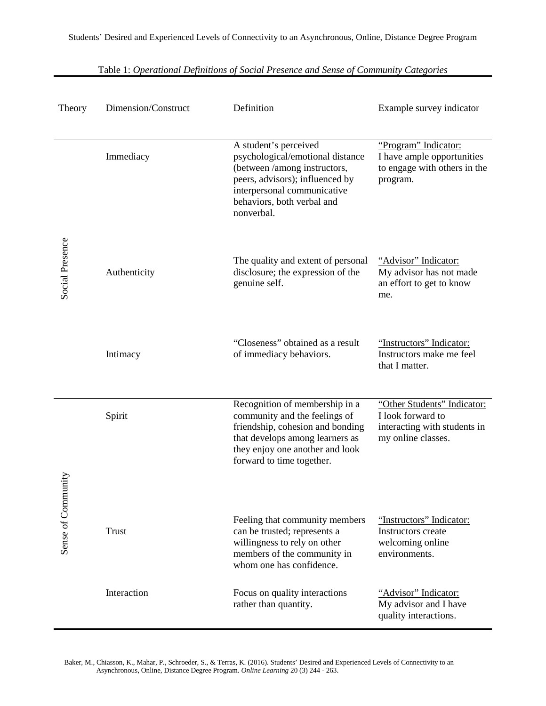| Theory             | Dimension/Construct | Definition                                                                                                                                                                                              | Example survey indicator                                                                               |
|--------------------|---------------------|---------------------------------------------------------------------------------------------------------------------------------------------------------------------------------------------------------|--------------------------------------------------------------------------------------------------------|
|                    | Immediacy           | A student's perceived<br>psychological/emotional distance<br>(between /among instructors,<br>peers, advisors); influenced by<br>interpersonal communicative<br>behaviors, both verbal and<br>nonverbal. | "Program" Indicator:<br>I have ample opportunities<br>to engage with others in the<br>program.         |
| Social Presence    | Authenticity        | The quality and extent of personal<br>disclosure; the expression of the<br>genuine self.                                                                                                                | "Advisor" Indicator:<br>My advisor has not made<br>an effort to get to know<br>me.                     |
|                    | Intimacy            | "Closeness" obtained as a result<br>of immediacy behaviors.                                                                                                                                             | "Instructors" Indicator:<br>Instructors make me feel<br>that I matter.                                 |
|                    | Spirit              | Recognition of membership in a<br>community and the feelings of<br>friendship, cohesion and bonding<br>that develops among learners as<br>they enjoy one another and look<br>forward to time together.  | "Other Students" Indicator:<br>I look forward to<br>interacting with students in<br>my online classes. |
|                    |                     |                                                                                                                                                                                                         |                                                                                                        |
| Sense of Community | Trust               | Feeling that community members<br>can be trusted; represents a<br>willingness to rely on other<br>members of the community in<br>whom one has confidence.                                               | "Instructors" Indicator:<br>Instructors create<br>welcoming online<br>environments.                    |
|                    | Interaction         | Focus on quality interactions<br>rather than quantity.                                                                                                                                                  | "Advisor" Indicator:<br>My advisor and I have<br>quality interactions.                                 |

Table 1: *Operational Definitions of Social Presence and Sense of Community Categories*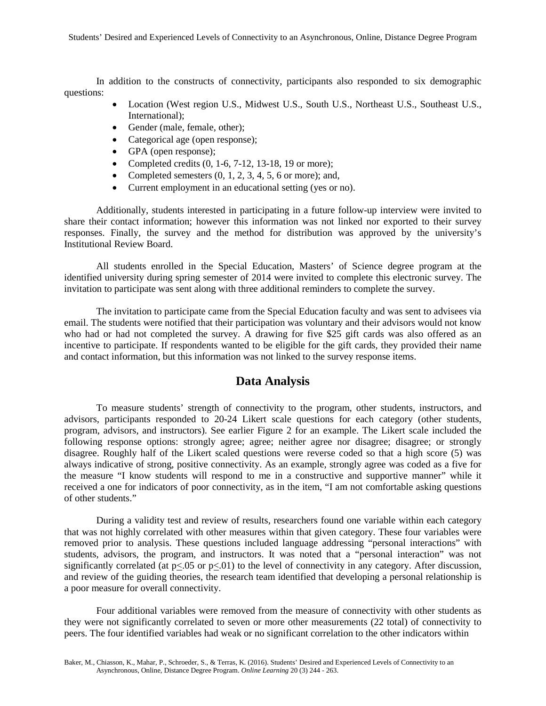In addition to the constructs of connectivity, participants also responded to six demographic questions:

- Location (West region U.S., Midwest U.S., South U.S., Northeast U.S., Southeast U.S., International);
- Gender (male, female, other);
- Categorical age (open response);
- GPA (open response);
- Completed credits  $(0, 1-6, 7-12, 13-18, 19)$  or more);
- Completed semesters  $(0, 1, 2, 3, 4, 5, 6$  or more); and,
- Current employment in an educational setting (yes or no).

Additionally, students interested in participating in a future follow-up interview were invited to share their contact information; however this information was not linked nor exported to their survey responses. Finally, the survey and the method for distribution was approved by the university's Institutional Review Board.

All students enrolled in the Special Education, Masters' of Science degree program at the identified university during spring semester of 2014 were invited to complete this electronic survey. The invitation to participate was sent along with three additional reminders to complete the survey.

The invitation to participate came from the Special Education faculty and was sent to advisees via email. The students were notified that their participation was voluntary and their advisors would not know who had or had not completed the survey. A drawing for five \$25 gift cards was also offered as an incentive to participate. If respondents wanted to be eligible for the gift cards, they provided their name and contact information, but this information was not linked to the survey response items.

## **Data Analysis**

To measure students' strength of connectivity to the program, other students, instructors, and advisors, participants responded to 20-24 Likert scale questions for each category (other students, program, advisors, and instructors). See earlier Figure 2 for an example. The Likert scale included the following response options: strongly agree; agree; neither agree nor disagree; disagree; or strongly disagree. Roughly half of the Likert scaled questions were reverse coded so that a high score (5) was always indicative of strong, positive connectivity. As an example, strongly agree was coded as a five for the measure "I know students will respond to me in a constructive and supportive manner" while it received a one for indicators of poor connectivity, as in the item, "I am not comfortable asking questions of other students."

During a validity test and review of results, researchers found one variable within each category that was not highly correlated with other measures within that given category. These four variables were removed prior to analysis. These questions included language addressing "personal interactions" with students, advisors, the program, and instructors. It was noted that a "personal interaction" was not significantly correlated (at  $p<0.05$  or  $p<0.01$ ) to the level of connectivity in any category. After discussion, and review of the guiding theories, the research team identified that developing a personal relationship is a poor measure for overall connectivity.

Four additional variables were removed from the measure of connectivity with other students as they were not significantly correlated to seven or more other measurements (22 total) of connectivity to peers. The four identified variables had weak or no significant correlation to the other indicators within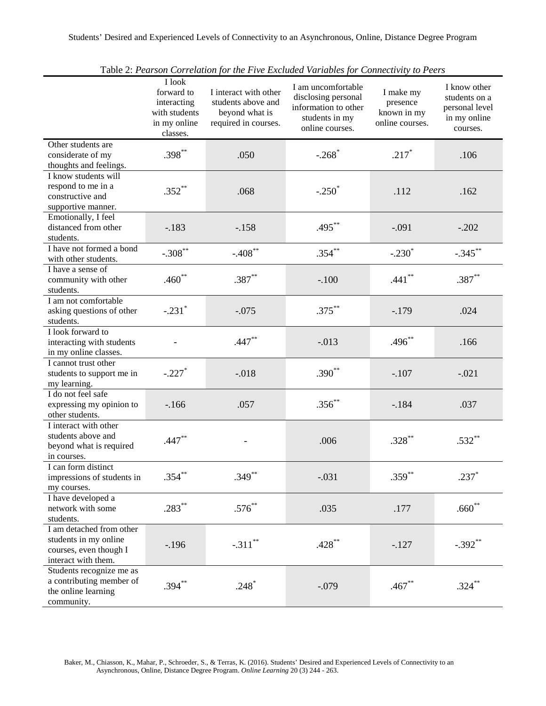|                                                                                                    | I look<br>forward to<br>interacting<br>with students<br>in my online<br>classes. | I interact with other<br>students above and<br>beyond what is<br>required in courses. | able 2.1 carbon correlation for the 1 the Exemined Farmoles for connectivity to $\Gamma$<br>I am uncomfortable<br>disclosing personal<br>information to other<br>students in my<br>online courses. | I make my<br>presence<br>known in my<br>online courses. | I know other<br>students on a<br>personal level<br>in my online<br>courses. |
|----------------------------------------------------------------------------------------------------|----------------------------------------------------------------------------------|---------------------------------------------------------------------------------------|----------------------------------------------------------------------------------------------------------------------------------------------------------------------------------------------------|---------------------------------------------------------|-----------------------------------------------------------------------------|
| Other students are<br>considerate of my<br>thoughts and feelings.                                  | $.398***$                                                                        | .050                                                                                  | $-.268$ <sup>*</sup>                                                                                                                                                                               | $.217*$                                                 | .106                                                                        |
| I know students will<br>respond to me in a<br>constructive and<br>supportive manner.               | $.352**$                                                                         | .068                                                                                  | $-.250*$                                                                                                                                                                                           | .112                                                    | .162                                                                        |
| Emotionally, I feel<br>distanced from other<br>students.                                           | $-.183$                                                                          | $-.158$                                                                               | $.495***$                                                                                                                                                                                          | $-.091$                                                 | $-.202$                                                                     |
| I have not formed a bond<br>with other students.                                                   | $-.308$ **                                                                       | $-.408$ **                                                                            | $.354***$                                                                                                                                                                                          | $-.230*$                                                | $-.345$ **                                                                  |
| I have a sense of<br>community with other<br>students.                                             | $.460**$                                                                         | $.387**$                                                                              | $-.100$                                                                                                                                                                                            | $.441***$                                               | $.387***$                                                                   |
| I am not comfortable<br>asking questions of other<br>students.                                     | $-.231$ <sup>*</sup>                                                             | $-.075$                                                                               | $.375***$                                                                                                                                                                                          | $-179$                                                  | .024                                                                        |
| I look forward to<br>interacting with students<br>in my online classes.                            |                                                                                  | $.447**$                                                                              | $-.013$                                                                                                                                                                                            | $.496**$                                                | .166                                                                        |
| I cannot trust other<br>students to support me in<br>my learning.                                  | $-.227$                                                                          | $-.018$                                                                               | $.390**$                                                                                                                                                                                           | $-.107$                                                 | $-.021$                                                                     |
| I do not feel safe<br>expressing my opinion to<br>other students.                                  | $-166$                                                                           | .057                                                                                  | $.356**$                                                                                                                                                                                           | $-184$                                                  | .037                                                                        |
| I interact with other<br>students above and<br>beyond what is required<br>in courses.              | $.447**$                                                                         |                                                                                       | .006                                                                                                                                                                                               | $.328**$                                                | $.532**$                                                                    |
| I can form distinct<br>impressions of students in<br>my courses.                                   | $.354***$                                                                        | $.349**$                                                                              | $-.031$                                                                                                                                                                                            | $.359***$                                               | $.237*$                                                                     |
| I have developed a<br>network with some<br>students.                                               | $.283***$                                                                        | $.576**$                                                                              | .035                                                                                                                                                                                               | .177                                                    | $.660**$                                                                    |
| I am detached from other<br>students in my online<br>courses, even though I<br>interact with them. | $-.196$                                                                          | $-.311$ **                                                                            | $.428**$                                                                                                                                                                                           | $-127$                                                  | $-.392**$                                                                   |
| Students recognize me as<br>a contributing member of<br>the online learning<br>community.          | $.394**$                                                                         | $.248*$                                                                               | $-.079$                                                                                                                                                                                            | $.467**$                                                | $.324***$                                                                   |

Table 2: *Pearson Correlation for the Five Excluded Variables for Connectivity to Peers*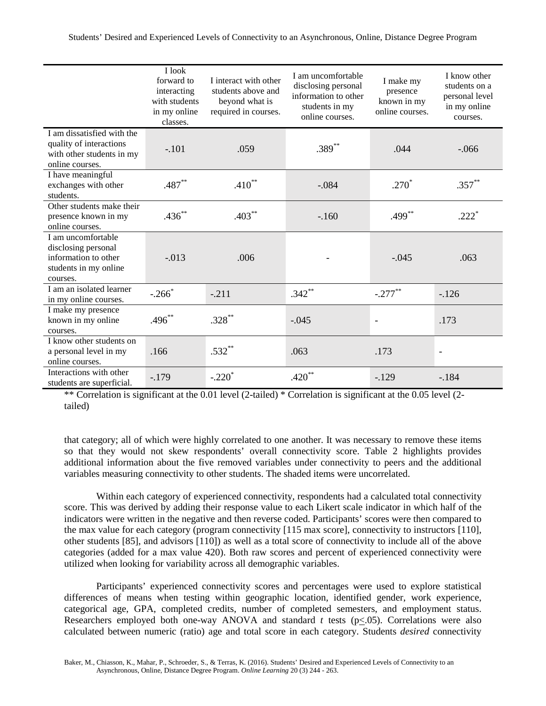|                                                                                                        | I look<br>forward to<br>interacting<br>with students<br>in my online<br>classes. | I interact with other<br>students above and<br>beyond what is<br>required in courses. | I am uncomfortable<br>disclosing personal<br>information to other<br>students in my<br>online courses. | I make my<br>presence<br>known in my<br>online courses. | I know other<br>students on a<br>personal level<br>in my online<br>courses. |
|--------------------------------------------------------------------------------------------------------|----------------------------------------------------------------------------------|---------------------------------------------------------------------------------------|--------------------------------------------------------------------------------------------------------|---------------------------------------------------------|-----------------------------------------------------------------------------|
| I am dissatisfied with the<br>quality of interactions<br>with other students in my<br>online courses.  | $-.101$                                                                          | .059                                                                                  | $.389^{**}$                                                                                            | .044                                                    | $-.066$                                                                     |
| I have meaningful<br>exchanges with other<br>students.                                                 | $.487**$                                                                         | $.410**$                                                                              | $-.084$                                                                                                | $.270*$                                                 | $.357**$                                                                    |
| Other students make their<br>presence known in my<br>online courses.                                   | $.436**$                                                                         | $.403**$                                                                              | $-.160$                                                                                                | $.499**$                                                | $.222*$                                                                     |
| I am uncomfortable<br>disclosing personal<br>information to other<br>students in my online<br>courses. | $-.013$                                                                          | .006                                                                                  |                                                                                                        | $-.045$                                                 | .063                                                                        |
| I am an isolated learner<br>in my online courses.                                                      | $-.266*$                                                                         | $-.211$                                                                               | $.342$ **                                                                                              | $-.277$ **                                              | $-.126$                                                                     |
| I make my presence<br>known in my online<br>courses.                                                   | $.496^{**}$                                                                      | $.328***$                                                                             | $-.045$                                                                                                | $\overline{\phantom{a}}$                                | .173                                                                        |
| I know other students on<br>a personal level in my<br>online courses.                                  | .166                                                                             | $.532**$                                                                              | .063                                                                                                   | .173                                                    | $\overline{\phantom{a}}$                                                    |
| Interactions with other<br>students are superficial.                                                   | $-179$                                                                           | $-.220*$                                                                              | $.420**$                                                                                               | $-129$                                                  | $-184$                                                                      |

\*\* Correlation is significant at the 0.01 level (2-tailed) \* Correlation is significant at the 0.05 level (2 tailed)

that category; all of which were highly correlated to one another. It was necessary to remove these items so that they would not skew respondents' overall connectivity score. Table 2 highlights provides additional information about the five removed variables under connectivity to peers and the additional variables measuring connectivity to other students. The shaded items were uncorrelated.

Within each category of experienced connectivity, respondents had a calculated total connectivity score. This was derived by adding their response value to each Likert scale indicator in which half of the indicators were written in the negative and then reverse coded. Participants' scores were then compared to the max value for each category (program connectivity [115 max score], connectivity to instructors [110], other students [85], and advisors [110]) as well as a total score of connectivity to include all of the above categories (added for a max value 420). Both raw scores and percent of experienced connectivity were utilized when looking for variability across all demographic variables.

Participants' experienced connectivity scores and percentages were used to explore statistical differences of means when testing within geographic location, identified gender, work experience, categorical age, GPA, completed credits, number of completed semesters, and employment status. Researchers employed both one-way ANOVA and standard *t* tests (p<.05). Correlations were also calculated between numeric (ratio) age and total score in each category. Students *desired* connectivity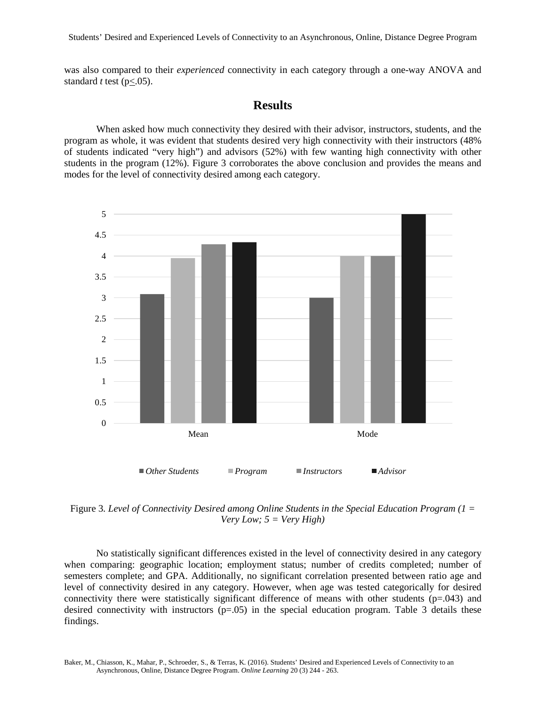was also compared to their *experienced* connectivity in each category through a one-way ANOVA and standard  $t$  test ( $p < .05$ ).

## **Results**

When asked how much connectivity they desired with their advisor, instructors, students, and the program as whole, it was evident that students desired very high connectivity with their instructors (48% of students indicated "very high") and advisors (52%) with few wanting high connectivity with other students in the program (12%). Figure 3 corroborates the above conclusion and provides the means and modes for the level of connectivity desired among each category.



Figure 3*. Level of Connectivity Desired among Online Students in the Special Education Program (1 = Very Low; 5 = Very High)*

No statistically significant differences existed in the level of connectivity desired in any category when comparing: geographic location; employment status; number of credits completed; number of semesters complete; and GPA. Additionally, no significant correlation presented between ratio age and level of connectivity desired in any category. However, when age was tested categorically for desired connectivity there were statistically significant difference of means with other students (p=.043) and desired connectivity with instructors  $(p=.05)$  in the special education program. Table 3 details these findings.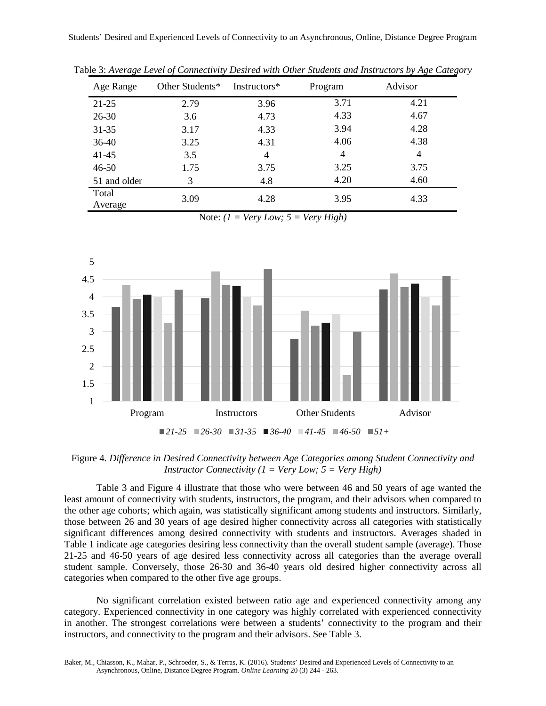| Age Range        | Other Students* | Instructors* | Program | Advisor |
|------------------|-----------------|--------------|---------|---------|
| $21 - 25$        | 2.79            | 3.96         | 3.71    | 4.21    |
| $26 - 30$        | 3.6             | 4.73         | 4.33    | 4.67    |
| $31 - 35$        | 3.17            | 4.33         | 3.94    | 4.28    |
| 36-40            | 3.25            | 4.31         | 4.06    | 4.38    |
| $41 - 45$        | 3.5             | 4            | 4       | 4       |
| $46 - 50$        | 1.75            | 3.75         | 3.25    | 3.75    |
| 51 and older     | 3               | 4.8          | 4.20    | 4.60    |
| Total<br>Average | 3.09            | 4.28         | 3.95    | 4.33    |

Table 3: *Average Level of Connectivity Desired with Other Students and Instructors by Age Category*

Note: *(1 = Very Low; 5 = Very High)*



Figure 4*. Difference in Desired Connectivity between Age Categories among Student Connectivity and Instructor Connectivity (1 = Very Low; 5 = Very High)*

Table 3 and Figure 4 illustrate that those who were between 46 and 50 years of age wanted the least amount of connectivity with students, instructors, the program, and their advisors when compared to the other age cohorts; which again, was statistically significant among students and instructors. Similarly, those between 26 and 30 years of age desired higher connectivity across all categories with statistically significant differences among desired connectivity with students and instructors. Averages shaded in Table 1 indicate age categories desiring less connectivity than the overall student sample (average). Those 21-25 and 46-50 years of age desired less connectivity across all categories than the average overall student sample. Conversely, those 26-30 and 36-40 years old desired higher connectivity across all categories when compared to the other five age groups.

No significant correlation existed between ratio age and experienced connectivity among any category. Experienced connectivity in one category was highly correlated with experienced connectivity in another. The strongest correlations were between a students' connectivity to the program and their instructors, and connectivity to the program and their advisors. See Table 3.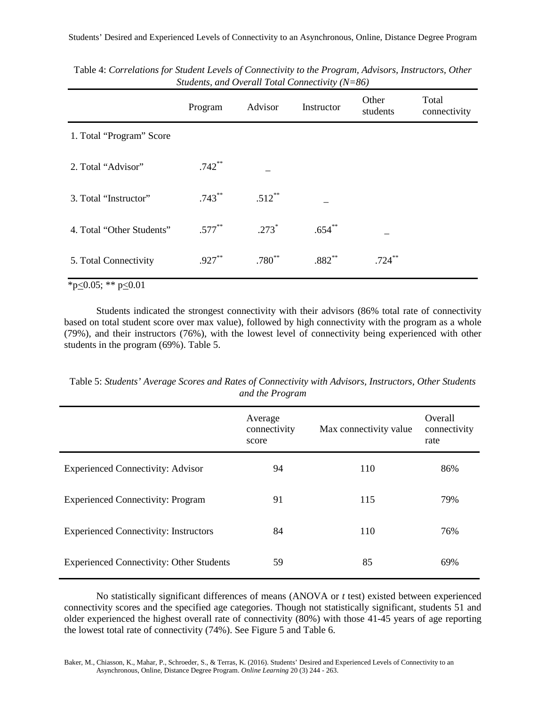|                           | Program   | Advisor   | Instructor | Other<br>students | Total<br>connectivity |
|---------------------------|-----------|-----------|------------|-------------------|-----------------------|
| 1. Total "Program" Score  |           |           |            |                   |                       |
| 2. Total "Advisor"        | $.742**$  |           |            |                   |                       |
| 3. Total "Instructor"     | $.743***$ | $.512$ ** |            |                   |                       |
| 4. Total "Other Students" | $.577***$ | $.273*$   | $.654**$   |                   |                       |
| 5. Total Connectivity     | $.927**$  | $.780**$  | $.882**$   | $.724***$         |                       |

Table 4: *Correlations for Student Levels of Connectivity to the Program, Advisors, Instructors, Other Students, and Overall Total Connectivity (N=86)*

\*p $\leq$ 0.05; \*\* p $\leq$ 0.01

Students indicated the strongest connectivity with their advisors (86% total rate of connectivity based on total student score over max value), followed by high connectivity with the program as a whole (79%), and their instructors (76%), with the lowest level of connectivity being experienced with other students in the program (69%). Table 5.

|                                                 | Average<br>connectivity | Max connectivity value | Overall<br>connectivity |
|-------------------------------------------------|-------------------------|------------------------|-------------------------|
|                                                 | score                   |                        | rate                    |
| <b>Experienced Connectivity: Advisor</b>        | 94                      | 110                    | 86%                     |
| <b>Experienced Connectivity: Program</b>        | 91                      | 115                    | 79%                     |
| <b>Experienced Connectivity: Instructors</b>    | 84                      | 110                    | 76%                     |
| <b>Experienced Connectivity: Other Students</b> | 59                      | 85                     | 69%                     |

Table 5: *Students' Average Scores and Rates of Connectivity with Advisors, Instructors, Other Students and the Program*

No statistically significant differences of means (ANOVA or *t* test) existed between experienced connectivity scores and the specified age categories. Though not statistically significant, students 51 and older experienced the highest overall rate of connectivity (80%) with those 41-45 years of age reporting the lowest total rate of connectivity (74%). See Figure 5 and Table 6.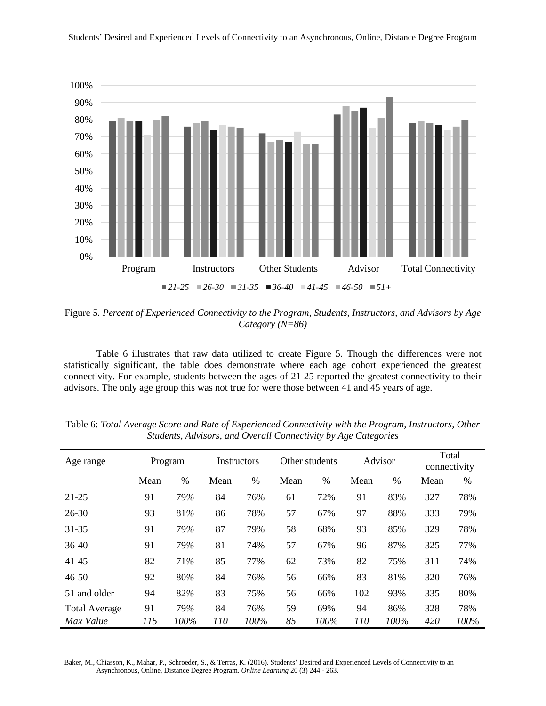



Figure 5*. Percent of Experienced Connectivity to the Program, Students, Instructors, and Advisors by Age Category (N=86)*

Table 6 illustrates that raw data utilized to create Figure 5. Though the differences were not statistically significant, the table does demonstrate where each age cohort experienced the greatest connectivity. For example, students between the ages of 21-25 reported the greatest connectivity to their advisors. The only age group this was not true for were those between 41 and 45 years of age.

| Age range            |      | Program | Instructors |      | Other students |      | Advisor |      | Total<br>connectivity |      |
|----------------------|------|---------|-------------|------|----------------|------|---------|------|-----------------------|------|
|                      | Mean | $\%$    | Mean        | %    | Mean           | $\%$ | Mean    | $\%$ | Mean                  | %    |
| $21 - 25$            | 91   | 79%     | 84          | 76%  | 61             | 72%  | 91      | 83%  | 327                   | 78%  |
| $26 - 30$            | 93   | 81%     | 86          | 78%  | 57             | 67%  | 97      | 88%  | 333                   | 79%  |
| $31 - 35$            | 91   | 79%     | 87          | 79%  | 58             | 68%  | 93      | 85%  | 329                   | 78%  |
| $36-40$              | 91   | 79%     | 81          | 74%  | 57             | 67%  | 96      | 87%  | 325                   | 77%  |
| 41-45                | 82   | 71%     | 85          | 77%  | 62             | 73%  | 82      | 75%  | 311                   | 74%  |
| $46 - 50$            | 92   | 80%     | 84          | 76%  | 56             | 66%  | 83      | 81%  | 320                   | 76%  |
| 51 and older         | 94   | 82%     | 83          | 75%  | 56             | 66%  | 102     | 93%  | 335                   | 80%  |
| <b>Total Average</b> | 91   | 79%     | 84          | 76%  | 59             | 69%  | 94      | 86%  | 328                   | 78%  |
| Max Value            | 115  | 100%    | 110         | 100% | 85             | 100% | 110     | 100% | 420                   | 100% |

Table 6: *Total Average Score and Rate of Experienced Connectivity with the Program, Instructors, Other Students, Advisors, and Overall Connectivity by Age Categories*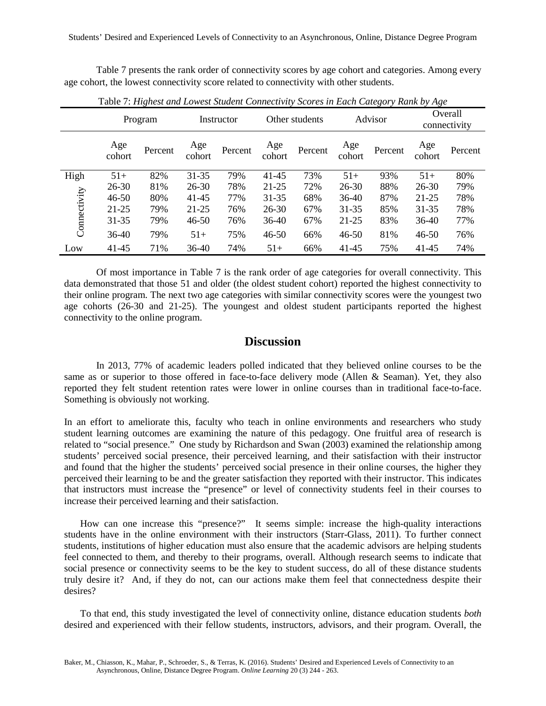Table 7 presents the rank order of connectivity scores by age cohort and categories. Among every age cohort, the lowest connectivity score related to connectivity with other students.

|              |               | Program |               | Instructor |               | Other students |               | Advisor |               | Overall<br>connectivity |
|--------------|---------------|---------|---------------|------------|---------------|----------------|---------------|---------|---------------|-------------------------|
|              | Age<br>cohort | Percent | Age<br>cohort | Percent    | Age<br>cohort | Percent        | Age<br>cohort | Percent | Age<br>cohort | Percent                 |
| High         | $51+$         | 82%     | $31 - 35$     | 79%        | $41 - 45$     | 73%            | $51+$         | 93%     | $51+$         | 80%                     |
|              | 26-30         | 81%     | $26 - 30$     | 78%        | $21 - 25$     | 72%            | 26-30         | 88%     | 26-30         | 79%                     |
|              | $46 - 50$     | 80%     | 41-45         | 77%        | 31-35         | 68%            | $36-40$       | 87%     | $21 - 25$     | 78%                     |
|              | $21 - 25$     | 79%     | 21-25         | 76%        | 26-30         | 67%            | $31 - 35$     | 85%     | $31 - 35$     | 78%                     |
| Connectivity | $31 - 35$     | 79%     | $46 - 50$     | 76%        | 36-40         | 67%            | 21-25         | 83%     | $36-40$       | 77%                     |
|              | 36-40         | 79%     | $51+$         | 75%        | $46 - 50$     | 66%            | 46-50         | 81%     | $46 - 50$     | 76%                     |
| Low          | 41-45         | 71%     | $36-40$       | 74%        | $51+$         | 66%            | 41-45         | 75%     | 41-45         | 74%                     |

Table 7: *Highest and Lowest Student Connectivity Scores in Each Category Rank by Age*

Of most importance in Table 7 is the rank order of age categories for overall connectivity. This data demonstrated that those 51 and older (the oldest student cohort) reported the highest connectivity to their online program. The next two age categories with similar connectivity scores were the youngest two age cohorts (26-30 and 21-25). The youngest and oldest student participants reported the highest connectivity to the online program.

## **Discussion**

In 2013, 77% of academic leaders polled indicated that they believed online courses to be the same as or superior to those offered in face-to-face delivery mode (Allen & Seaman). Yet, they also reported they felt student retention rates were lower in online courses than in traditional face-to-face. Something is obviously not working.

In an effort to ameliorate this, faculty who teach in online environments and researchers who study student learning outcomes are examining the nature of this pedagogy. One fruitful area of research is related to "social presence." One study by Richardson and Swan (2003) examined the relationship among students' perceived social presence, their perceived learning, and their satisfaction with their instructor and found that the higher the students' perceived social presence in their online courses, the higher they perceived their learning to be and the greater satisfaction they reported with their instructor. This indicates that instructors must increase the "presence" or level of connectivity students feel in their courses to increase their perceived learning and their satisfaction.

How can one increase this "presence?" It seems simple: increase the high-quality interactions students have in the online environment with their instructors (Starr-Glass, 2011). To further connect students, institutions of higher education must also ensure that the academic advisors are helping students feel connected to them, and thereby to their programs, overall. Although research seems to indicate that social presence or connectivity seems to be the key to student success, do all of these distance students truly desire it? And, if they do not, can our actions make them feel that connectedness despite their desires?

To that end, this study investigated the level of connectivity online, distance education students *both*  desired and experienced with their fellow students, instructors, advisors, and their program. Overall, the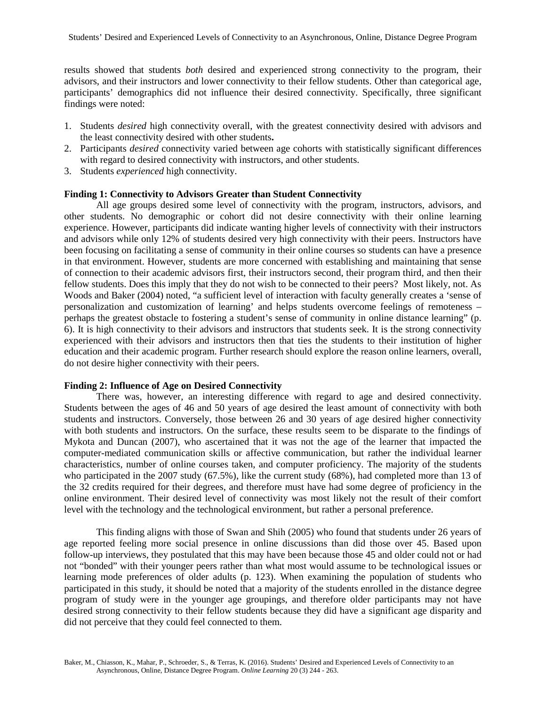results showed that students *both* desired and experienced strong connectivity to the program, their advisors, and their instructors and lower connectivity to their fellow students. Other than categorical age, participants' demographics did not influence their desired connectivity. Specifically, three significant findings were noted:

- 1. Students *desired* high connectivity overall, with the greatest connectivity desired with advisors and the least connectivity desired with other students**.**
- 2. Participants *desired* connectivity varied between age cohorts with statistically significant differences with regard to desired connectivity with instructors, and other students.
- 3. Students *experienced* high connectivity.

#### **Finding 1: Connectivity to Advisors Greater than Student Connectivity**

All age groups desired some level of connectivity with the program, instructors, advisors, and other students. No demographic or cohort did not desire connectivity with their online learning experience. However, participants did indicate wanting higher levels of connectivity with their instructors and advisors while only 12% of students desired very high connectivity with their peers. Instructors have been focusing on facilitating a sense of community in their online courses so students can have a presence in that environment. However, students are more concerned with establishing and maintaining that sense of connection to their academic advisors first, their instructors second, their program third, and then their fellow students. Does this imply that they do not wish to be connected to their peers? Most likely, not. As Woods and Baker (2004) noted, "a sufficient level of interaction with faculty generally creates a 'sense of personalization and customization of learning' and helps students overcome feelings of remoteness – perhaps the greatest obstacle to fostering a student's sense of community in online distance learning" (p. 6). It is high connectivity to their advisors and instructors that students seek. It is the strong connectivity experienced with their advisors and instructors then that ties the students to their institution of higher education and their academic program. Further research should explore the reason online learners, overall, do not desire higher connectivity with their peers.

#### **Finding 2: Influence of Age on Desired Connectivity**

There was, however, an interesting difference with regard to age and desired connectivity. Students between the ages of 46 and 50 years of age desired the least amount of connectivity with both students and instructors. Conversely, those between 26 and 30 years of age desired higher connectivity with both students and instructors. On the surface, these results seem to be disparate to the findings of Mykota and Duncan (2007), who ascertained that it was not the age of the learner that impacted the computer-mediated communication skills or affective communication, but rather the individual learner characteristics, number of online courses taken, and computer proficiency. The majority of the students who participated in the 2007 study (67.5%), like the current study (68%), had completed more than 13 of the 32 credits required for their degrees, and therefore must have had some degree of proficiency in the online environment. Their desired level of connectivity was most likely not the result of their comfort level with the technology and the technological environment, but rather a personal preference.

This finding aligns with those of Swan and Shih (2005) who found that students under 26 years of age reported feeling more social presence in online discussions than did those over 45. Based upon follow-up interviews, they postulated that this may have been because those 45 and older could not or had not "bonded" with their younger peers rather than what most would assume to be technological issues or learning mode preferences of older adults (p. 123). When examining the population of students who participated in this study, it should be noted that a majority of the students enrolled in the distance degree program of study were in the younger age groupings, and therefore older participants may not have desired strong connectivity to their fellow students because they did have a significant age disparity and did not perceive that they could feel connected to them.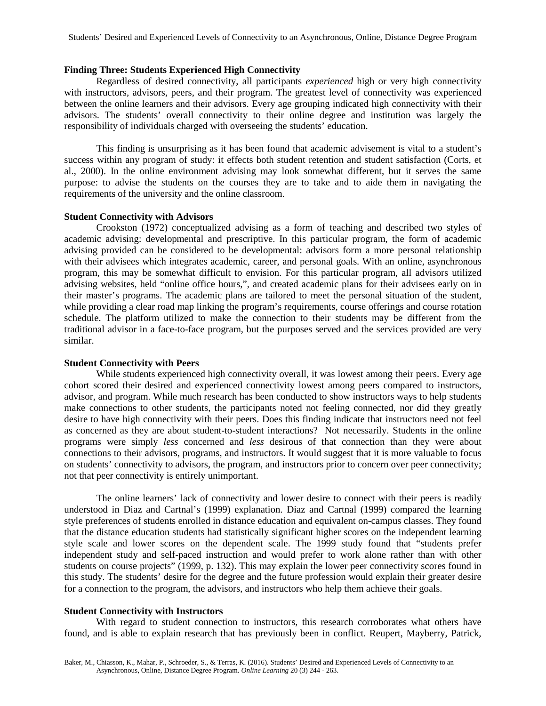#### **Finding Three: Students Experienced High Connectivity**

Regardless of desired connectivity, all participants *experienced* high or very high connectivity with instructors, advisors, peers, and their program. The greatest level of connectivity was experienced between the online learners and their advisors. Every age grouping indicated high connectivity with their advisors. The students' overall connectivity to their online degree and institution was largely the responsibility of individuals charged with overseeing the students' education.

This finding is unsurprising as it has been found that academic advisement is vital to a student's success within any program of study: it effects both student retention and student satisfaction (Corts, et al., 2000). In the online environment advising may look somewhat different, but it serves the same purpose: to advise the students on the courses they are to take and to aide them in navigating the requirements of the university and the online classroom.

#### **Student Connectivity with Advisors**

Crookston (1972) conceptualized advising as a form of teaching and described two styles of academic advising: developmental and prescriptive. In this particular program, the form of academic advising provided can be considered to be developmental: advisors form a more personal relationship with their advisees which integrates academic, career, and personal goals. With an online, asynchronous program, this may be somewhat difficult to envision. For this particular program, all advisors utilized advising websites, held "online office hours,", and created academic plans for their advisees early on in their master's programs. The academic plans are tailored to meet the personal situation of the student, while providing a clear road map linking the program's requirements, course offerings and course rotation schedule. The platform utilized to make the connection to their students may be different from the traditional advisor in a face-to-face program, but the purposes served and the services provided are very similar.

#### **Student Connectivity with Peers**

While students experienced high connectivity overall, it was lowest among their peers. Every age cohort scored their desired and experienced connectivity lowest among peers compared to instructors, advisor, and program. While much research has been conducted to show instructors ways to help students make connections to other students, the participants noted not feeling connected, nor did they greatly desire to have high connectivity with their peers. Does this finding indicate that instructors need not feel as concerned as they are about student-to-student interactions? Not necessarily. Students in the online programs were simply *less* concerned and *less* desirous of that connection than they were about connections to their advisors, programs, and instructors. It would suggest that it is more valuable to focus on students' connectivity to advisors, the program, and instructors prior to concern over peer connectivity; not that peer connectivity is entirely unimportant.

The online learners' lack of connectivity and lower desire to connect with their peers is readily understood in Diaz and Cartnal's (1999) explanation. Diaz and Cartnal (1999) compared the learning style preferences of students enrolled in distance education and equivalent on-campus classes. They found that the distance education students had statistically significant higher scores on the independent learning style scale and lower scores on the dependent scale. The 1999 study found that "students prefer independent study and self-paced instruction and would prefer to work alone rather than with other students on course projects" (1999, p. 132). This may explain the lower peer connectivity scores found in this study. The students' desire for the degree and the future profession would explain their greater desire for a connection to the program, the advisors, and instructors who help them achieve their goals.

#### **Student Connectivity with Instructors**

With regard to student connection to instructors, this research corroborates what others have found, and is able to explain research that has previously been in conflict. Reupert, Mayberry, Patrick,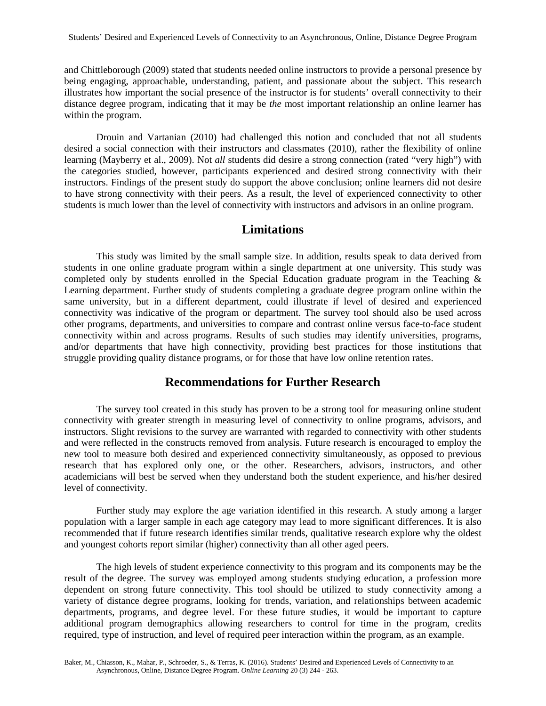and Chittleborough (2009) stated that students needed online instructors to provide a personal presence by being engaging, approachable, understanding, patient, and passionate about the subject. This research illustrates how important the social presence of the instructor is for students' overall connectivity to their distance degree program, indicating that it may be *the* most important relationship an online learner has within the program.

Drouin and Vartanian (2010) had challenged this notion and concluded that not all students desired a social connection with their instructors and classmates (2010), rather the flexibility of online learning (Mayberry et al., 2009). Not *all* students did desire a strong connection (rated "very high") with the categories studied, however, participants experienced and desired strong connectivity with their instructors. Findings of the present study do support the above conclusion; online learners did not desire to have strong connectivity with their peers. As a result, the level of experienced connectivity to other students is much lower than the level of connectivity with instructors and advisors in an online program.

## **Limitations**

This study was limited by the small sample size. In addition, results speak to data derived from students in one online graduate program within a single department at one university. This study was completed only by students enrolled in the Special Education graduate program in the Teaching & Learning department. Further study of students completing a graduate degree program online within the same university, but in a different department, could illustrate if level of desired and experienced connectivity was indicative of the program or department. The survey tool should also be used across other programs, departments, and universities to compare and contrast online versus face-to-face student connectivity within and across programs. Results of such studies may identify universities, programs, and/or departments that have high connectivity, providing best practices for those institutions that struggle providing quality distance programs, or for those that have low online retention rates.

## **Recommendations for Further Research**

The survey tool created in this study has proven to be a strong tool for measuring online student connectivity with greater strength in measuring level of connectivity to online programs, advisors, and instructors. Slight revisions to the survey are warranted with regarded to connectivity with other students and were reflected in the constructs removed from analysis. Future research is encouraged to employ the new tool to measure both desired and experienced connectivity simultaneously, as opposed to previous research that has explored only one, or the other. Researchers, advisors, instructors, and other academicians will best be served when they understand both the student experience, and his/her desired level of connectivity.

Further study may explore the age variation identified in this research. A study among a larger population with a larger sample in each age category may lead to more significant differences. It is also recommended that if future research identifies similar trends, qualitative research explore why the oldest and youngest cohorts report similar (higher) connectivity than all other aged peers.

The high levels of student experience connectivity to this program and its components may be the result of the degree. The survey was employed among students studying education, a profession more dependent on strong future connectivity. This tool should be utilized to study connectivity among a variety of distance degree programs, looking for trends, variation, and relationships between academic departments, programs, and degree level. For these future studies, it would be important to capture additional program demographics allowing researchers to control for time in the program, credits required, type of instruction, and level of required peer interaction within the program, as an example.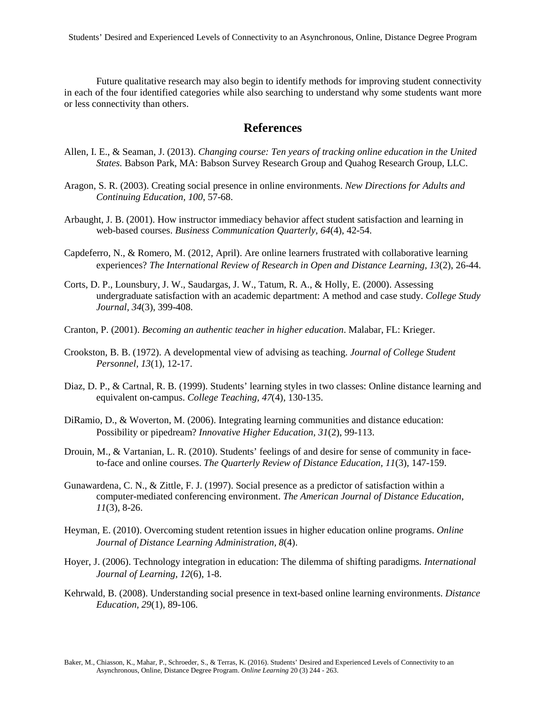Future qualitative research may also begin to identify methods for improving student connectivity in each of the four identified categories while also searching to understand why some students want more or less connectivity than others.

## **References**

- Allen, I. E., & Seaman, J. (2013). *Changing course: Ten years of tracking online education in the United States.* Babson Park, MA: Babson Survey Research Group and Quahog Research Group, LLC.
- Aragon, S. R. (2003). Creating social presence in online environments. *New Directions for Adults and Continuing Education, 100*, 57-68.
- Arbaught, J. B. (2001). How instructor immediacy behavior affect student satisfaction and learning in web-based courses. *Business Communication Quarterly, 64*(4), 42-54.
- Capdeferro, N., & Romero, M. (2012, April). Are online learners frustrated with collaborative learning experiences? *The International Review of Research in Open and Distance Learning, 13*(2), 26-44.
- Corts, D. P., Lounsbury, J. W., Saudargas, J. W., Tatum, R. A., & Holly, E. (2000). Assessing undergraduate satisfaction with an academic department: A method and case study. *College Study Journal, 34*(3), 399-408.
- Cranton, P. (2001). *Becoming an authentic teacher in higher education*. Malabar, FL: Krieger.
- Crookston, B. B. (1972). A developmental view of advising as teaching. *Journal of College Student Personnel, 13*(1), 12-17.
- Diaz, D. P., & Cartnal, R. B. (1999). Students' learning styles in two classes: Online distance learning and equivalent on-campus. *College Teaching, 47*(4), 130-135.
- DiRamio, D., & Woverton, M. (2006). Integrating learning communities and distance education: Possibility or pipedream? *Innovative Higher Education*, *31*(2), 99-113.
- Drouin, M., & Vartanian, L. R. (2010). Students' feelings of and desire for sense of community in faceto-face and online courses. *The Quarterly Review of Distance Education, 11*(3), 147-159.
- Gunawardena, C. N., & Zittle, F. J. (1997). Social presence as a predictor of satisfaction within a computer-mediated conferencing environment. *The American Journal of Distance Education, 11*(3), 8-26.
- Heyman, E. (2010). Overcoming student retention issues in higher education online programs. *Online Journal of Distance Learning Administration, 8*(4).
- Hoyer, J. (2006). Technology integration in education: The dilemma of shifting paradigms*. International Journal of Learning, 12*(6), 1-8.
- Kehrwald, B. (2008). Understanding social presence in text-based online learning environments. *Distance Education, 29*(1), 89-106.

Baker, M., Chiasson, K., Mahar, P., Schroeder, S., & Terras, K. (2016). Students' Desired and Experienced Levels of Connectivity to an Asynchronous, Online, Distance Degree Program. *Online Learning* 20 (3) 244 - 263.